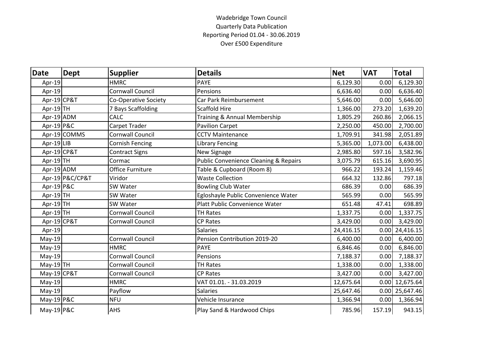## Wadebridge Town Council Quarterly Data Publication Reporting Period 01.04 - 30.06.2019 Over £500 Expenditure

| <b>Date</b> | <b>Dept</b>     | <b>Supplier</b>         | <b>Details</b>                                   | <b>Net</b> | <b>VAT</b> | <b>Total</b>     |
|-------------|-----------------|-------------------------|--------------------------------------------------|------------|------------|------------------|
| Apr-19      |                 | <b>HMRC</b>             | <b>PAYE</b>                                      | 6,129.30   | 0.00       | 6,129.30         |
| Apr-19      |                 | Cornwall Council        | Pensions                                         | 6,636.40   | 0.00       | 6,636.40         |
| Apr-19 CP&T |                 | Co-Operative Society    | Car Park Reimbursement                           | 5,646.00   | 0.00       | 5,646.00         |
| Apr-19TH    |                 | 7 Bays Scaffolding      | <b>Scaffold Hire</b>                             | 1,366.00   | 273.20     | 1,639.20         |
| Apr-19 ADM  |                 | CALC                    | Training & Annual Membership                     | 1,805.29   | 260.86     | 2,066.15         |
| Apr-19 P&C  |                 | Carpet Trader           | <b>Pavilion Carpet</b>                           | 2,250.00   | 450.00     | 2,700.00         |
|             | Apr-19 COMMS    | Cornwall Council        | <b>CCTV Maintenance</b>                          | 1,709.91   | 341.98     | 2,051.89         |
| Apr-19 LIB  |                 | Cornish Fencing         | <b>Library Fencing</b>                           | 5,365.00   | 1,073.00   | 6,438.00         |
| Apr-19 CP&T |                 | <b>Contract Signs</b>   | New Signage                                      | 2,985.80   | 597.16     | 3,582.96         |
| Apr-19TH    |                 | Cormac                  | <b>Public Convenience Cleaning &amp; Repairs</b> | 3,075.79   | 615.16     | 3,690.95         |
| Apr-19 ADM  |                 | <b>Office Furniture</b> | Table & Cupboard (Room 8)                        | 966.22     | 193.24     | 1,159.46         |
|             | Apr-19 P&C/CP&T | Viridor                 | <b>Waste Collection</b>                          | 664.32     | 132.86     | 797.18           |
| Apr-19 P&C  |                 | SW Water                | <b>Bowling Club Water</b>                        | 686.39     | 0.00       | 686.39           |
| Apr-19TH    |                 | SW Water                | Egloshayle Public Convenience Water              | 565.99     | 0.00       | 565.99           |
| Apr-19TH    |                 | SW Water                | Platt Public Convenience Water                   | 651.48     | 47.41      | 698.89           |
| Apr-19TH    |                 | <b>Cornwall Council</b> | <b>TH Rates</b>                                  | 1,337.75   | 0.00       | 1,337.75         |
| Apr-19 CP&T |                 | Cornwall Council        | <b>CP Rates</b>                                  | 3,429.00   | 0.00       | 3,429.00         |
| Apr-19      |                 |                         | <b>Salaries</b>                                  | 24,416.15  |            | $0.00$ 24,416.15 |
| $May-19$    |                 | Cornwall Council        | Pension Contribution 2019-20                     | 6,400.00   | 0.00       | 6,400.00         |
| May-19      |                 | <b>HMRC</b>             | <b>PAYE</b>                                      | 6,846.46   | 0.00       | 6,846.00         |
| May-19      |                 | Cornwall Council        | Pensions                                         | 7,188.37   | 0.00       | 7,188.37         |
| May-19TH    |                 | Cornwall Council        | <b>TH Rates</b>                                  | 1,338.00   | 0.00       | 1,338.00         |
| May-19 CP&T |                 | Cornwall Council        | <b>CP Rates</b>                                  | 3,427.00   | 0.00       | 3,427.00         |
| $May-19$    |                 | <b>HMRC</b>             | VAT 01.01. - 31.03.2019                          | 12,675.64  |            | $0.00$ 12,675.64 |
| $May-19$    |                 | Payflow                 | <b>Salaries</b>                                  | 25,647.46  |            | $0.00$ 25,647.46 |
| May-19 P&C  |                 | <b>NFU</b>              | Vehicle Insurance                                | 1,366.94   | 0.00       | 1,366.94         |
| May-19 P&C  |                 | AHS                     | Play Sand & Hardwood Chips                       | 785.96     | 157.19     | 943.15           |